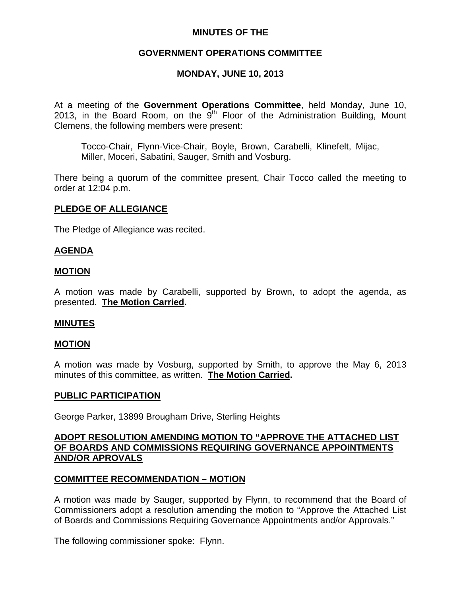# **MINUTES OF THE**

# **GOVERNMENT OPERATIONS COMMITTEE**

# **MONDAY, JUNE 10, 2013**

At a meeting of the **Government Operations Committee**, held Monday, June 10, 2013, in the Board Room, on the  $9<sup>th</sup>$  Floor of the Administration Building, Mount Clemens, the following members were present:

Tocco-Chair, Flynn-Vice-Chair, Boyle, Brown, Carabelli, Klinefelt, Mijac, Miller, Moceri, Sabatini, Sauger, Smith and Vosburg.

There being a quorum of the committee present, Chair Tocco called the meeting to order at 12:04 p.m.

### **PLEDGE OF ALLEGIANCE**

The Pledge of Allegiance was recited.

### **AGENDA**

#### **MOTION**

A motion was made by Carabelli, supported by Brown, to adopt the agenda, as presented. **The Motion Carried.** 

#### **MINUTES**

#### **MOTION**

A motion was made by Vosburg, supported by Smith, to approve the May 6, 2013 minutes of this committee, as written. **The Motion Carried.** 

#### **PUBLIC PARTICIPATION**

George Parker, 13899 Brougham Drive, Sterling Heights

## **ADOPT RESOLUTION AMENDING MOTION TO "APPROVE THE ATTACHED LIST OF BOARDS AND COMMISSIONS REQUIRING GOVERNANCE APPOINTMENTS AND/OR APROVALS**

### **COMMITTEE RECOMMENDATION – MOTION**

A motion was made by Sauger, supported by Flynn, to recommend that the Board of Commissioners adopt a resolution amending the motion to "Approve the Attached List of Boards and Commissions Requiring Governance Appointments and/or Approvals."

The following commissioner spoke: Flynn.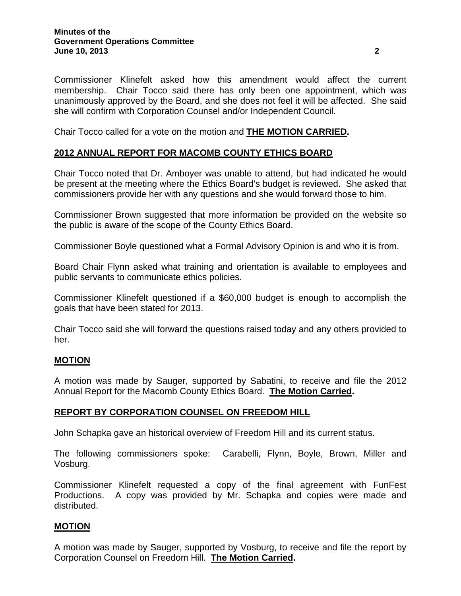Commissioner Klinefelt asked how this amendment would affect the current membership. Chair Tocco said there has only been one appointment, which was unanimously approved by the Board, and she does not feel it will be affected. She said she will confirm with Corporation Counsel and/or Independent Council.

Chair Tocco called for a vote on the motion and **THE MOTION CARRIED.** 

# **2012 ANNUAL REPORT FOR MACOMB COUNTY ETHICS BOARD**

Chair Tocco noted that Dr. Amboyer was unable to attend, but had indicated he would be present at the meeting where the Ethics Board's budget is reviewed. She asked that commissioners provide her with any questions and she would forward those to him.

Commissioner Brown suggested that more information be provided on the website so the public is aware of the scope of the County Ethics Board.

Commissioner Boyle questioned what a Formal Advisory Opinion is and who it is from.

Board Chair Flynn asked what training and orientation is available to employees and public servants to communicate ethics policies.

Commissioner Klinefelt questioned if a \$60,000 budget is enough to accomplish the goals that have been stated for 2013.

Chair Tocco said she will forward the questions raised today and any others provided to her.

### **MOTION**

A motion was made by Sauger, supported by Sabatini, to receive and file the 2012 Annual Report for the Macomb County Ethics Board. **The Motion Carried.** 

### **REPORT BY CORPORATION COUNSEL ON FREEDOM HILL**

John Schapka gave an historical overview of Freedom Hill and its current status.

The following commissioners spoke: Carabelli, Flynn, Boyle, Brown, Miller and Vosburg.

Commissioner Klinefelt requested a copy of the final agreement with FunFest Productions. A copy was provided by Mr. Schapka and copies were made and distributed.

### **MOTION**

A motion was made by Sauger, supported by Vosburg, to receive and file the report by Corporation Counsel on Freedom Hill. **The Motion Carried.**